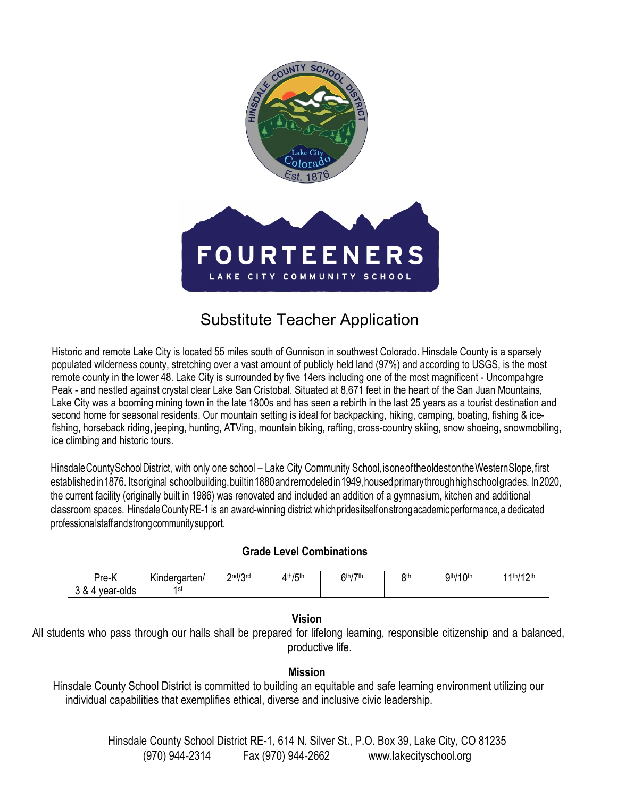

# Substitute Teacher Application

Historic and remote Lake City is located 55 miles south of Gunnison in southwest Colorado. Hinsdale County is a sparsely populated wilderness county, stretching over a vast amount of publicly held land (97%) and according to USGS, is the most remote county in the lower 48. Lake City is surrounded by five 14ers including one of the most magnificent - Uncompahgre Peak - and nestled against crystal clear Lake San Cristobal. Situated at 8,671 feet in the heart of the San Juan Mountains, Lake City was a booming mining town in the late 1800s and has seen a rebirth in the last 25 years as a tourist destination and second home for seasonal residents. Our mountain setting is ideal for backpacking, hiking, camping, boating, fishing & icefishing, horseback riding, jeeping, hunting, ATVing, mountain biking, rafting, cross-country skiing, snow shoeing, snowmobiling, ice climbing and historic tours.

HinsdaleCountySchoolDistrict, with only one school – Lake City Community School,isoneoftheoldestontheWesternSlope,first establishedin 1876. Itsoriginal schoolbuilding, builtin 1880 andremodeledin 1949, housed primarythrough high school grades. In 2020, the current facility (originally built in 1986) was renovated and included an addition of a gymnasium, kitchen and additional classroom spaces. HinsdaleCountyRE-1 is an award-winning district whichpridesitselfonstrongacademicperformance,a dedicated professional staff and strong community support.

## **Grade Level Combinations**

| -<br><sup>U</sup> re-N          | $\cdot$<br>Kindergarten/ | 2nd/2rd<br><u>.</u><br>, v | $4th$ / $5th$ | <b>Gth/7th</b> | <b>Att</b> | $11$ Oth<br>Qth/<br>$\cdot$<br>1 V | 11th/12th<br>. <u>.</u> |
|---------------------------------|--------------------------|----------------------------|---------------|----------------|------------|------------------------------------|-------------------------|
| $\Omega$<br>olds<br>vear-c<br>ີ | 1st                      |                            |               |                |            |                                    |                         |

## **Vision**

All students who pass through our halls shall be prepared for lifelong learning, responsible citizenship and a balanced, productive life.

## **Mission**

Hinsdale County School District is committed to building an equitable and safe learning environment utilizing our individual capabilities that exemplifies ethical, diverse and inclusive civic leadership.